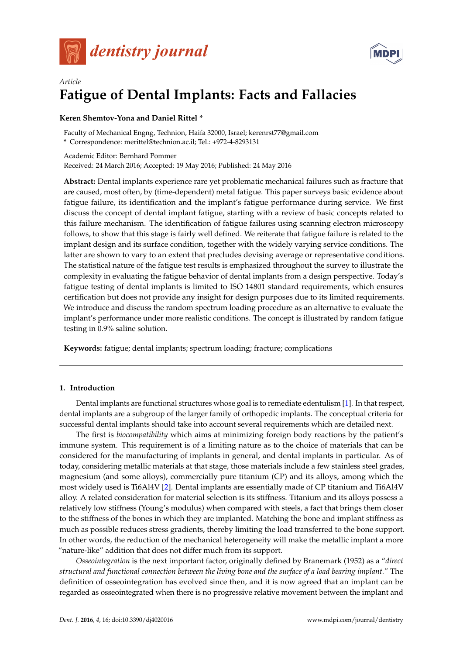



# *Article* **Fatigue of Dental Implants: Facts and Fallacies**

# **Keren Shemtov-Yona and Daniel Rittel \***

Faculty of Mechanical Engng, Technion, Haifa 32000, Israel; kerenrst77@gmail.com

**\*** Correspondence: merittel@technion.ac.il; Tel.: +972-4-8293131

Academic Editor: Bernhard Pommer Received: 24 March 2016; Accepted: 19 May 2016; Published: 24 May 2016

**Abstract:** Dental implants experience rare yet problematic mechanical failures such as fracture that are caused, most often, by (time-dependent) metal fatigue. This paper surveys basic evidence about fatigue failure, its identification and the implant's fatigue performance during service. We first discuss the concept of dental implant fatigue, starting with a review of basic concepts related to this failure mechanism. The identification of fatigue failures using scanning electron microscopy follows, to show that this stage is fairly well defined. We reiterate that fatigue failure is related to the implant design and its surface condition, together with the widely varying service conditions. The latter are shown to vary to an extent that precludes devising average or representative conditions. The statistical nature of the fatigue test results is emphasized throughout the survey to illustrate the complexity in evaluating the fatigue behavior of dental implants from a design perspective. Today's fatigue testing of dental implants is limited to ISO 14801 standard requirements, which ensures certification but does not provide any insight for design purposes due to its limited requirements. We introduce and discuss the random spectrum loading procedure as an alternative to evaluate the implant's performance under more realistic conditions. The concept is illustrated by random fatigue testing in 0.9% saline solution.

**Keywords:** fatigue; dental implants; spectrum loading; fracture; complications

## **1. Introduction**

Dental implants are functional structures whose goal is to remediate edentulism [\[1\]](#page-9-0). In that respect, dental implants are a subgroup of the larger family of orthopedic implants. The conceptual criteria for successful dental implants should take into account several requirements which are detailed next.

The first is *biocompatibility* which aims at minimizing foreign body reactions by the patient's immune system. This requirement is of a limiting nature as to the choice of materials that can be considered for the manufacturing of implants in general, and dental implants in particular. As of today, considering metallic materials at that stage, those materials include a few stainless steel grades, magnesium (and some alloys), commercially pure titanium (CP) and its alloys, among which the most widely used is Ti6Al4V [\[2\]](#page-9-1). Dental implants are essentially made of CP titanium and Ti6Al4V alloy. A related consideration for material selection is its stiffness. Titanium and its alloys possess a relatively low stiffness (Young's modulus) when compared with steels, a fact that brings them closer to the stiffness of the bones in which they are implanted. Matching the bone and implant stiffness as much as possible reduces stress gradients, thereby limiting the load transferred to the bone support. In other words, the reduction of the mechanical heterogeneity will make the metallic implant a more "nature-like" addition that does not differ much from its support.

*Osseointegration* is the next important factor, originally defined by Branemark (1952) as a "*direct structural and functional connection between the living bone and the surface of a load bearing implant.*" The definition of osseointegration has evolved since then, and it is now agreed that an implant can be regarded as osseointegrated when there is no progressive relative movement between the implant and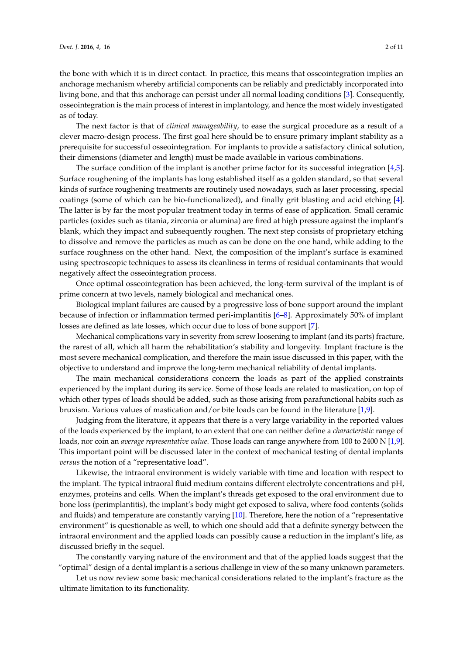the bone with which it is in direct contact. In practice, this means that osseointegration implies an anchorage mechanism whereby artificial components can be reliably and predictably incorporated into living bone, and that this anchorage can persist under all normal loading conditions [\[3\]](#page-9-2). Consequently, osseointegration is the main process of interest in implantology, and hence the most widely investigated as of today.

The next factor is that of *clinical manageability*, to ease the surgical procedure as a result of a clever macro-design process. The first goal here should be to ensure primary implant stability as a prerequisite for successful osseointegration. For implants to provide a satisfactory clinical solution, their dimensions (diameter and length) must be made available in various combinations.

The surface condition of the implant is another prime factor for its successful integration [\[4,](#page-9-3)[5\]](#page-9-4). Surface roughening of the implants has long established itself as a golden standard, so that several kinds of surface roughening treatments are routinely used nowadays, such as laser processing, special coatings (some of which can be bio-functionalized), and finally grit blasting and acid etching [\[4\]](#page-9-3). The latter is by far the most popular treatment today in terms of ease of application. Small ceramic particles (oxides such as titania, zirconia or alumina) are fired at high pressure against the implant's blank, which they impact and subsequently roughen. The next step consists of proprietary etching to dissolve and remove the particles as much as can be done on the one hand, while adding to the surface roughness on the other hand. Next, the composition of the implant's surface is examined using spectroscopic techniques to assess its cleanliness in terms of residual contaminants that would negatively affect the osseointegration process.

Once optimal osseointegration has been achieved, the long-term survival of the implant is of prime concern at two levels, namely biological and mechanical ones.

Biological implant failures are caused by a progressive loss of bone support around the implant because of infection or inflammation termed peri-implantitis [\[6–](#page-9-5)[8\]](#page-9-6). Approximately 50% of implant losses are defined as late losses, which occur due to loss of bone support [\[7\]](#page-9-7).

Mechanical complications vary in severity from screw loosening to implant (and its parts) fracture, the rarest of all, which all harm the rehabilitation's stability and longevity. Implant fracture is the most severe mechanical complication, and therefore the main issue discussed in this paper, with the objective to understand and improve the long-term mechanical reliability of dental implants.

The main mechanical considerations concern the loads as part of the applied constraints experienced by the implant during its service. Some of those loads are related to mastication, on top of which other types of loads should be added, such as those arising from parafunctional habits such as bruxism. Various values of mastication and/or bite loads can be found in the literature [\[1,](#page-9-0)[9\]](#page-9-8).

Judging from the literature, it appears that there is a very large variability in the reported values of the loads experienced by the implant, to an extent that one can neither define a *characteristic* range of loads, nor coin an *average representative value*. Those loads can range anywhere from 100 to 2400 N [\[1](#page-9-0)[,9\]](#page-9-8). This important point will be discussed later in the context of mechanical testing of dental implants *versus* the notion of a "representative load".

Likewise, the intraoral environment is widely variable with time and location with respect to the implant. The typical intraoral fluid medium contains different electrolyte concentrations and pH, enzymes, proteins and cells. When the implant's threads get exposed to the oral environment due to bone loss (perimplantitis), the implant's body might get exposed to saliva, where food contents (solids and fluids) and temperature are constantly varying [\[10\]](#page-9-9). Therefore, here the notion of a "representative environment" is questionable as well, to which one should add that a definite synergy between the intraoral environment and the applied loads can possibly cause a reduction in the implant's life, as discussed briefly in the sequel.

The constantly varying nature of the environment and that of the applied loads suggest that the "optimal" design of a dental implant is a serious challenge in view of the so many unknown parameters.

Let us now review some basic mechanical considerations related to the implant's fracture as the ultimate limitation to its functionality.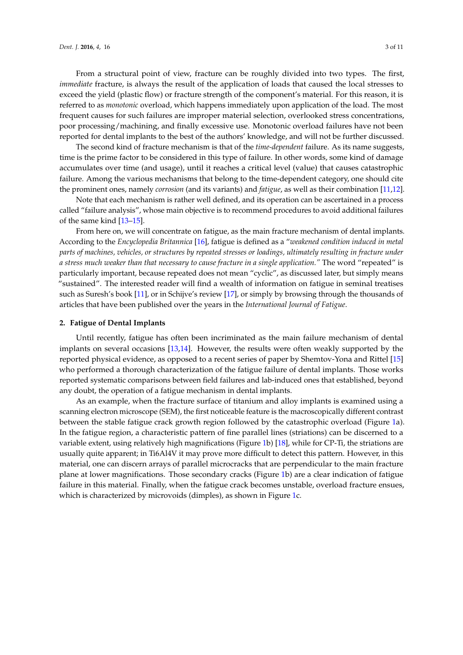From a structural point of view, fracture can be roughly divided into two types. The first, *immediate* fracture, is always the result of the application of loads that caused the local stresses to exceed the yield (plastic flow) or fracture strength of the component's material. For this reason, it is referred to as *monotonic* overload, which happens immediately upon application of the load. The most frequent causes for such failures are improper material selection, overlooked stress concentrations, poor processing/machining, and finally excessive use. Monotonic overload failures have not been reported for dental implants to the best of the authors' knowledge, and will not be further discussed.

The second kind of fracture mechanism is that of the *time-dependent* failure. As its name suggests, time is the prime factor to be considered in this type of failure. In other words, some kind of damage accumulates over time (and usage), until it reaches a critical level (value) that causes catastrophic failure. Among the various mechanisms that belong to the time-dependent category, one should cite the prominent ones, namely *corrosion* (and its variants) and *fatigue*, as well as their combination [\[11](#page-9-10)[,12\]](#page-9-11).

Note that each mechanism is rather well defined, and its operation can be ascertained in a process called "failure analysis", whose main objective is to recommend procedures to avoid additional failures of the same kind [\[13](#page-9-12)[–15\]](#page-9-13).

From here on, we will concentrate on fatigue, as the main fracture mechanism of dental implants. According to the *Encyclopedia Britannica* [\[16\]](#page-9-14), fatigue is defined as a "*weakened condition induced in metal parts of machines, vehicles, or structures by repeated stresses or loadings, ultimately resulting in fracture under a stress much weaker than that necessary to cause fracture in a single application."* The word "repeated" is particularly important, because repeated does not mean "cyclic", as discussed later, but simply means "sustained". The interested reader will find a wealth of information on fatigue in seminal treatises such as Suresh's book [\[11\]](#page-9-10), or in Schijve's review [\[17\]](#page-9-15), or simply by browsing through the thousands of articles that have been published over the years in the *International Journal of Fatigue*.

#### **2. Fatigue of Dental Implants**

Until recently, fatigue has often been incriminated as the main failure mechanism of dental implants on several occasions [\[13,](#page-9-12)[14\]](#page-9-16). However, the results were often weakly supported by the reported physical evidence, as opposed to a recent series of paper by Shemtov-Yona and Rittel [\[15\]](#page-9-13) who performed a thorough characterization of the fatigue failure of dental implants. Those works reported systematic comparisons between field failures and lab-induced ones that established, beyond any doubt, the operation of a fatigue mechanism in dental implants.

As an example, when the fracture surface of titanium and alloy implants is examined using a scanning electron microscope (SEM), the first noticeable feature is the macroscopically different contrast between the stable fatigue crack growth region followed by the catastrophic overload (Figure [1a](#page-3-0)). In the fatigue region, a characteristic pattern of fine parallel lines (striations) can be discerned to a variable extent, using relatively high magnifications (Figure [1b](#page-3-0)) [\[18\]](#page-9-17), while for CP-Ti, the striations are usually quite apparent; in Ti6Al4V it may prove more difficult to detect this pattern. However, in this material, one can discern arrays of parallel microcracks that are perpendicular to the main fracture plane at lower magnifications. Those secondary cracks (Figure [1b](#page-3-0)) are a clear indication of fatigue failure in this material. Finally, when the fatigue crack becomes unstable, overload fracture ensues, which is characterized by microvoids (dimples), as shown in Figure [1c](#page-3-0).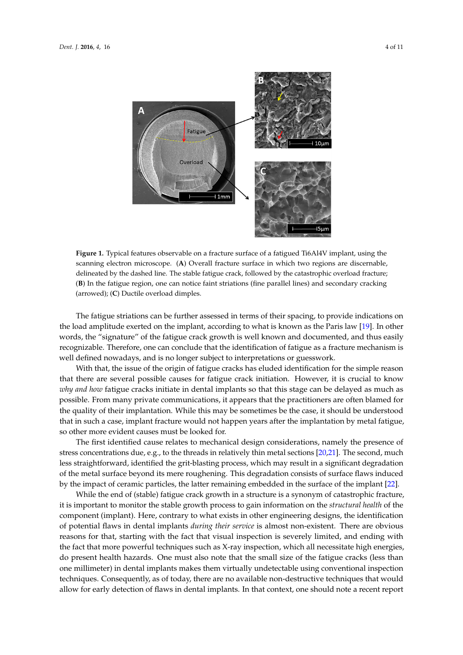<span id="page-3-0"></span>

**Figure 1.** Typical features observable on a fracture surface of a fatigued Ti6Al4V implant, using the **Figure 1.** Typical features observable on a fracture surface of a fatigued Ti6Al4V implant, using the discussion delineated by the dashed line. The stable facilities of the catastrophic overload fracture; followed by the catastrophic overload fracture; the catastrophic overload fracture; the catastrophic overload fracture; the catast delineated by the dashed line. The stable fatigue crack, followed by the catastrophic overload fracture;<br>(**C**) In the state of the stable fatigue crack, followed by the catastrophic overload fracture; (arrowed); (**C**) Ductile overload dimples. (arrowed); (**C**) Ductile overload dimples. scanning electron microscope. (**A**) Overall fracture surface in which two regions are discernable, (**B**) In the fatigue region, one can notice faint striations (fine parallel lines) and secondary cracking

The fatigue striations can be further assessed in terms of their spacing, to provide indications on the load amplitude exerted on the implant, according to what is known as the Paris law [\[19\]](#page-9-18). In other words, the "signature" of the fatigue crack growth is well known and documented, and thus easily recognizable. Therefore, one can conclude that the identification of fatigue as a fracture mechanism is well defined nowadays, and is no longer subject to interpretations or guesswork.

With that, the issue of the origin of fatigue cracks has eluded identification for the simple reason that there are several possible causes for fatigue crack initiation. However, it is crucial to know *why and how* fatigue cracks initiate in dental implants so that this stage can be delayed as much as possible. From many private communications, it appears that the practitioners are often blamed for the quality of their implantation. While this may be sometimes be the case, it should be understood that in such a case, implant fracture would not happen years after the implantation by metal fatigue, so other more evident causes must be looked for.

The first identified cause relates to mechanical design considerations, namely the presence of stress concentrations due, e.g., to the threads in relatively thin metal sections [\[20,](#page-9-19)[21\]](#page-9-20). The second, much less straightforward, identified the grit-blasting process, which may result in a significant degradation of the metal surface beyond its mere roughening. This degradation consists of surface flaws induced by the impact of ceramic particles, the latter remaining embedded in the surface of the implant [ $22$ ].

While the end of (stable) fatigue crack growth in a structure is a synonym of catastrophic While the end of (stable) fatigue crack growth in a structure is a synonym of catastrophic fracture, it is important to monitor the stable growth process to gain information on the *structural health* of the *health* of the component (implant). Here, contrary to what exists in other engineering designs, the component (implant). Here, contrary to what exists in other engineering designs, the identification of potential flaws in dental implants *during their service* is almost non-existent. There are obvious reasons for that, starting with the fact that visual inspection is severely limited, and ending with the fact that more powerful techniques such as X-ray inspection, which all necessitate high energies, do present health hazards. One must also note that the small size of the fatigue cracks (less than one millimeter) in dental implants makes them virtually undetectable using conventional inspection techniques. Consequently, as of today, there are no available non-destructive techniques that would allow for early detection of flaws in dental implants. In that context, one should note a recent report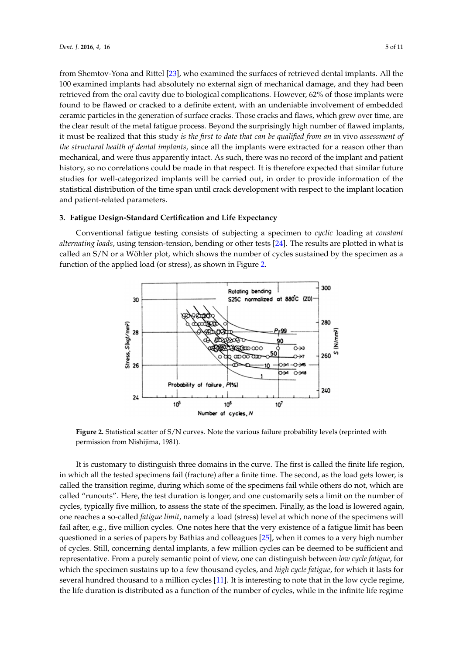from Shemtov-Yona and Rittel [\[23\]](#page-10-0), who examined the surfaces of retrieved dental implants. All the 100 examined implants had absolutely no external sign of mechanical damage, and they had been *Dent. J.* **2016**, *4*, 16 5 of 11 retrieved from the oral cavity due to biological complications. However, 62% of those implants were found to be flawed or cracked to a definite extent, with an undeniable involvement of embedded ceramic particles in the generation of surface cracks. Those cracks and flaws, which grew over time, are the clear result of the metal fatigue process. Beyond the surprisingly high number of flawed implants, it must be realized that this study *is the first to date that can be qualified from an i*n vivo *assessment of* the structural health of dental implants, since all the implants were extracted for a reason other than mechanical, and were thus apparently intact. As such, there was no record of the implant and patient history, so no correlations could be made in that respect. It is therefore expected that similar future studies for well-categorized implants will be carried out, in order to provide information of the statistical distribution of the time span until crack development with respect to the implant location and patient-related parameters.

# **3. Fatigue Design-Standard Certification and Life Expectancy 3. Fatigue Design‐Standard Certification and Life Expectancy**

<span id="page-4-0"></span>Conventional fatigue testing consists of subjecting a specimen to *cyclic* loading at *constant* Conventional fatigue testing consists of subjecting a specimen to *cyclic* loading at *constant alternating loads,* using tension-tension, bending or other tests [\[24\]](#page-10-1). The results are plotted in what is called an S/N or a Wöhler plot, which shows the number of cycles sustained by the specimen as a called an S/N or a Wöhler plot, which shows the number of cycles sustained by the specimen as a function of the applied load (or stress), as shown in Figure [2.](#page-4-0) function of the applied load (or stress), as shown in Figure 2.



Figure 2. Statistical scatter of S/N curves. Note the various failure probability levels (reprinted with permission from Nishijima, 1981). permission from Nishijima, 1981).

It is customary to distinguish three domains in the curve. The first is called the finite life region, in which all the tested specimens fail (fracture) after a finite time. The second, as the load gets lower, is  $\frac{1}{\sqrt{2}}$ called the transition regime, during which some of the specimens fail while others do not, which are called "runouts". Here, the test duration is longer, and one customarily sets a limit on the number of cycles, typically five million, to assess the state of the specimen. Finally, as the load is lowered again, one reaches a so-called *fatigue limit*, namely a load (stress) level at which none of the specimens will fail after, e.g., five million cycles. One notes here that the very existence of a fatigue limit has been questioned in a series of papers by Bathias and colleagues [\[25\]](#page-10-2), when it comes to a very high number of cycles. Still, concerning dental implants, a few million cycles can be deemed to be sufficient and representative. From a purely semantic point of view, one can distinguish between *low cycle fatigue,* for which the specimen sustains up to a few thousand cycles, and *high cycle fatigue*, for which it lasts for several hundred thousand to a million cycles [\[11\]](#page-9-10). It is interesting to note that in the low cycle regime, the life duration is distributed as a function of the number of cycles, while in the infinite life regime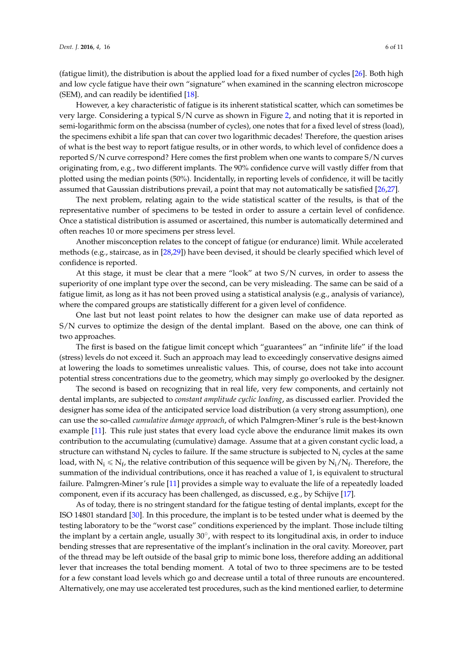(fatigue limit), the distribution is about the applied load for a fixed number of cycles [\[26\]](#page-10-3). Both high and low cycle fatigue have their own "signature" when examined in the scanning electron microscope (SEM), and can readily be identified [\[18\]](#page-9-17).

However, a key characteristic of fatigue is its inherent statistical scatter, which can sometimes be very large. Considering a typical S/N curve as shown in Figure [2,](#page-4-0) and noting that it is reported in semi-logarithmic form on the abscissa (number of cycles), one notes that for a fixed level of stress (load), the specimens exhibit a life span that can cover two logarithmic decades! Therefore, the question arises of what is the best way to report fatigue results, or in other words, to which level of confidence does a reported S/N curve correspond? Here comes the first problem when one wants to compare S/N curves originating from, e.g., two different implants. The 90% confidence curve will vastly differ from that plotted using the median points (50%). Incidentally, in reporting levels of confidence, it will be tacitly assumed that Gaussian distributions prevail, a point that may not automatically be satisfied [\[26,](#page-10-3)[27\]](#page-10-4).

The next problem, relating again to the wide statistical scatter of the results, is that of the representative number of specimens to be tested in order to assure a certain level of confidence. Once a statistical distribution is assumed or ascertained, this number is automatically determined and often reaches 10 or more specimens per stress level.

Another misconception relates to the concept of fatigue (or endurance) limit. While accelerated methods (e.g., staircase, as in [\[28,](#page-10-5)[29\]](#page-10-6)) have been devised, it should be clearly specified which level of confidence is reported.

At this stage, it must be clear that a mere "look" at two S/N curves, in order to assess the superiority of one implant type over the second, can be very misleading. The same can be said of a fatigue limit, as long as it has not been proved using a statistical analysis (e.g., analysis of variance), where the compared groups are statistically different for a given level of confidence.

One last but not least point relates to how the designer can make use of data reported as S/N curves to optimize the design of the dental implant. Based on the above, one can think of two approaches.

The first is based on the fatigue limit concept which "guarantees" an "infinite life" if the load (stress) levels do not exceed it. Such an approach may lead to exceedingly conservative designs aimed at lowering the loads to sometimes unrealistic values. This, of course, does not take into account potential stress concentrations due to the geometry, which may simply go overlooked by the designer.

The second is based on recognizing that in real life, very few components, and certainly not dental implants, are subjected to *constant amplitude cyclic loading*, as discussed earlier. Provided the designer has some idea of the anticipated service load distribution (a very strong assumption), one can use the so-called *cumulative damage approach*, of which Palmgren-Miner's rule is the best-known example [\[11\]](#page-9-10). This rule just states that every load cycle above the endurance limit makes its own contribution to the accumulating (cumulative) damage. Assume that at a given constant cyclic load, a structure can withstand  $N_f$  cycles to failure. If the same structure is subjected to  $N_i$  cycles at the same load, with  $N_i\leqslant N_f$ , the relative contribution of this sequence will be given by  $N_i/N_f.$  Therefore, the summation of the individual contributions, once it has reached a value of 1, is equivalent to structural failure. Palmgren-Miner's rule [\[11\]](#page-9-10) provides a simple way to evaluate the life of a repeatedly loaded component, even if its accuracy has been challenged, as discussed, e.g., by Schijve [\[17\]](#page-9-15).

As of today, there is no stringent standard for the fatigue testing of dental implants, except for the ISO 14801 standard [\[30\]](#page-10-7). In this procedure, the implant is to be tested under what is deemed by the testing laboratory to be the "worst case" conditions experienced by the implant. Those include tilting the implant by a certain angle, usually  $30^{\circ}$ , with respect to its longitudinal axis, in order to induce bending stresses that are representative of the implant's inclination in the oral cavity. Moreover, part of the thread may be left outside of the basal grip to mimic bone loss, therefore adding an additional lever that increases the total bending moment. A total of two to three specimens are to be tested for a few constant load levels which go and decrease until a total of three runouts are encountered. Alternatively, one may use accelerated test procedures, such as the kind mentioned earlier, to determine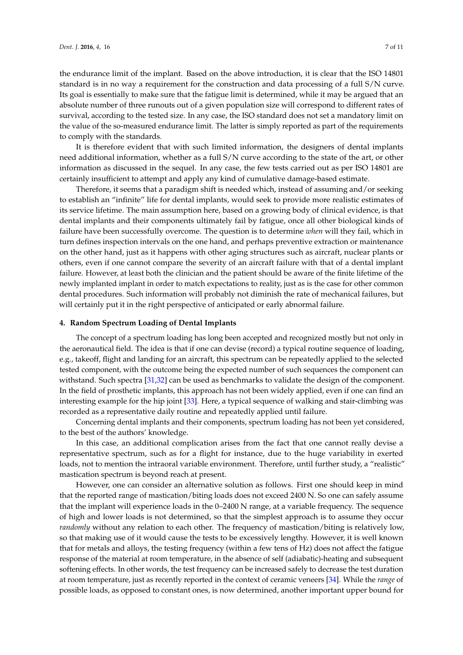the endurance limit of the implant. Based on the above introduction, it is clear that the ISO 14801 standard is in no way a requirement for the construction and data processing of a full S/N curve. Its goal is essentially to make sure that the fatigue limit is determined, while it may be argued that an absolute number of three runouts out of a given population size will correspond to different rates of survival, according to the tested size. In any case, the ISO standard does not set a mandatory limit on the value of the so-measured endurance limit. The latter is simply reported as part of the requirements to comply with the standards.

It is therefore evident that with such limited information, the designers of dental implants need additional information, whether as a full S/N curve according to the state of the art, or other information as discussed in the sequel. In any case, the few tests carried out as per ISO 14801 are certainly insufficient to attempt and apply any kind of cumulative damage-based estimate.

Therefore, it seems that a paradigm shift is needed which, instead of assuming and/or seeking to establish an "infinite" life for dental implants, would seek to provide more realistic estimates of its service lifetime. The main assumption here, based on a growing body of clinical evidence, is that dental implants and their components ultimately fail by fatigue, once all other biological kinds of failure have been successfully overcome. The question is to determine *when* will they fail, which in turn defines inspection intervals on the one hand, and perhaps preventive extraction or maintenance on the other hand, just as it happens with other aging structures such as aircraft, nuclear plants or others, even if one cannot compare the severity of an aircraft failure with that of a dental implant failure. However, at least both the clinician and the patient should be aware of the finite lifetime of the newly implanted implant in order to match expectations to reality, just as is the case for other common dental procedures. Such information will probably not diminish the rate of mechanical failures, but will certainly put it in the right perspective of anticipated or early abnormal failure.

#### **4. Random Spectrum Loading of Dental Implants**

The concept of a spectrum loading has long been accepted and recognized mostly but not only in the aeronautical field. The idea is that if one can devise (record) a typical routine sequence of loading, e.g., takeoff, flight and landing for an aircraft, this spectrum can be repeatedly applied to the selected tested component, with the outcome being the expected number of such sequences the component can withstand. Such spectra [\[31,](#page-10-8)[32\]](#page-10-9) can be used as benchmarks to validate the design of the component. In the field of prosthetic implants, this approach has not been widely applied, even if one can find an interesting example for the hip joint [\[33\]](#page-10-10). Here, a typical sequence of walking and stair-climbing was recorded as a representative daily routine and repeatedly applied until failure.

Concerning dental implants and their components, spectrum loading has not been yet considered, to the best of the authors' knowledge.

In this case, an additional complication arises from the fact that one cannot really devise a representative spectrum, such as for a flight for instance, due to the huge variability in exerted loads, not to mention the intraoral variable environment. Therefore, until further study, a "realistic" mastication spectrum is beyond reach at present.

However, one can consider an alternative solution as follows. First one should keep in mind that the reported range of mastication/biting loads does not exceed 2400 N. So one can safely assume that the implant will experience loads in the 0–2400 N range, at a variable frequency. The sequence of high and lower loads is not determined, so that the simplest approach is to assume they occur *randomly* without any relation to each other. The frequency of mastication/biting is relatively low, so that making use of it would cause the tests to be excessively lengthy. However, it is well known that for metals and alloys, the testing frequency (within a few tens of Hz) does not affect the fatigue response of the material at room temperature, in the absence of self (adiabatic)-heating and subsequent softening effects. In other words, the test frequency can be increased safely to decrease the test duration at room temperature, just as recently reported in the context of ceramic veneers [\[34\]](#page-10-11). While the *range* of possible loads, as opposed to constant ones, is now determined, another important upper bound for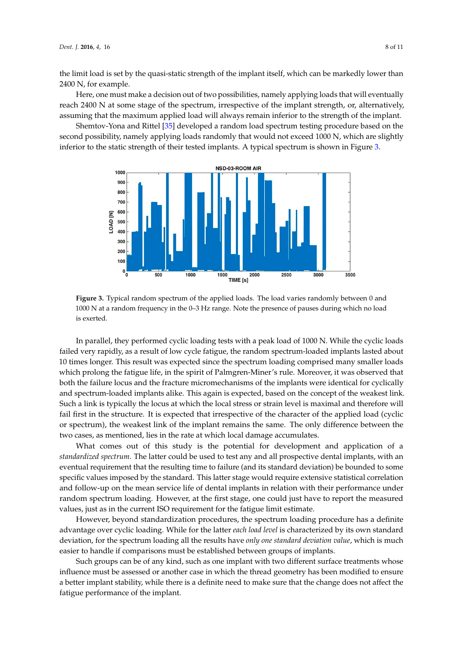the limit load is set by the quasi-static strength of the implant itself, which can be markedly lower than 2400 N, for example.

Here, one must make a decision out of two possibilities, namely applying loads that will eventually reach 2400 N at some stage of the spectrum, irrespective of the implant strength, or, alternatively, assuming that the maximum applied load will always remain inferior to the strength of the implant.

<span id="page-7-0"></span>Shemtov-Yona and Rittel [\[35\]](#page-10-12) developed a random load spectrum testing procedure based on the Shemtov‐Yona and Rittel [35] developed a random load spectrum testing procedure based on second possibility, namely applying loads randomly that would not exceed 1000 N, which are slightly inferior to the static strength of their tested implants. A typical spectrum is shown in Figure [3.](#page-7-0)



**Figure 3.** Typical random spectrum of the applied loads. The load varies randomly between 0 and **Figure 3.** Typical random spectrum of the applied loads. The load varies randomly between 0 and 1000 N at a random frequency in the 0–3 Hz range. Note the presence of pauses during which no load 1000 N at a random frequency in the 0–3 Hz range. Note the presence of pauses during which no load is exerted. is exerted.

In parallel, they performed cyclic loading tests with a peak load of 1000 N. While the cyclic loads failed very rapidly, as a result of low cycle fatigue, the random spectrum-loaded implants lasted about 10 times longer. This result was expected since the spectrum loading comprised many smaller loads which prolong the fatigue life, in the spirit of Palmgren-Miner's rule. Moreover, it was observed that both the failure locus and the fracture micromechanisms of the implants were identical for cyclically and spectrum-loaded implants alike. This again is expected, based on the concept of the weakest link.<br> Such a link is typically the locus at which the local stress or strain level is maximal and therefore will fail first in the structure. It is expected that irrespective of the character of the applied load (cyclic or spectrum), the weakest link of the implant remains the same. The only difference between the two cases, as mentioned, lies in the rate at which local damage accumulates.

What comes out of this study is the potential for development and application of a *standardized spectrum*. The latter could be used to test any and all prospective dental implants, with an eventual requirement that the resulting time to failure (and its standard deviation) be bounded to some specific values imposed by the standard. This latter stage would require extensive statistical correlation and follow-up on the mean service life of dental implants in relation with their performance under random spectrum loading. However, at the first stage, one could just have to report the measured values, just as in the current ISO requirement for the fatigue limit estimate.

However, beyond standardization procedures, the spectrum loading procedure has a definite advantage over cyclic loading. While for the latter *each load level* is characterized by its own standard deviation, for the spectrum loading all the results have *only one standard deviation value*, which is much easier to handle if comparisons must be established between groups of implants.

Such groups can be of any kind, such as one implant with two different surface treatments whose influence must be assessed or another case in which the thread geometry has been modified to ensure  $\,$ a better implant stability, while there is a definite need to make sure that the change does not affect the  $\,$ fatigue performance of the implant.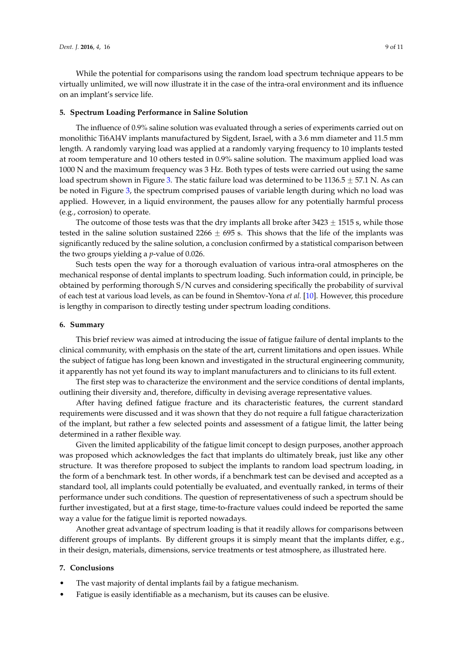While the potential for comparisons using the random load spectrum technique appears to be virtually unlimited, we will now illustrate it in the case of the intra-oral environment and its influence on an implant's service life.

#### **5. Spectrum Loading Performance in Saline Solution**

The influence of 0.9% saline solution was evaluated through a series of experiments carried out on monolithic Ti6Al4V implants manufactured by Sigdent, Israel, with a 3.6 mm diameter and 11.5 mm length. A randomly varying load was applied at a randomly varying frequency to 10 implants tested at room temperature and 10 others tested in 0.9% saline solution. The maximum applied load was 1000 N and the maximum frequency was 3 Hz. Both types of tests were carried out using the same load spectrum shown in Figure [3.](#page-7-0) The static failure load was determined to be 1136.5  $\pm$  57.1 N. As can be noted in Figure [3,](#page-7-0) the spectrum comprised pauses of variable length during which no load was applied. However, in a liquid environment, the pauses allow for any potentially harmful process (e.g., corrosion) to operate.

The outcome of those tests was that the dry implants all broke after  $3423 \pm 1515$  s, while those tested in the saline solution sustained 2266  $\pm$  695 s. This shows that the life of the implants was significantly reduced by the saline solution, a conclusion confirmed by a statistical comparison between the two groups yielding a *p*-value of 0.026.

Such tests open the way for a thorough evaluation of various intra-oral atmospheres on the mechanical response of dental implants to spectrum loading. Such information could, in principle, be obtained by performing thorough S/N curves and considering specifically the probability of survival of each test at various load levels, as can be found in Shemtov-Yona *et al.* [\[10\]](#page-9-9). However, this procedure is lengthy in comparison to directly testing under spectrum loading conditions.

#### **6. Summary**

This brief review was aimed at introducing the issue of fatigue failure of dental implants to the clinical community, with emphasis on the state of the art, current limitations and open issues. While the subject of fatigue has long been known and investigated in the structural engineering community, it apparently has not yet found its way to implant manufacturers and to clinicians to its full extent.

The first step was to characterize the environment and the service conditions of dental implants, outlining their diversity and, therefore, difficulty in devising average representative values.

After having defined fatigue fracture and its characteristic features, the current standard requirements were discussed and it was shown that they do not require a full fatigue characterization of the implant, but rather a few selected points and assessment of a fatigue limit, the latter being determined in a rather flexible way.

Given the limited applicability of the fatigue limit concept to design purposes, another approach was proposed which acknowledges the fact that implants do ultimately break, just like any other structure. It was therefore proposed to subject the implants to random load spectrum loading, in the form of a benchmark test. In other words, if a benchmark test can be devised and accepted as a standard tool, all implants could potentially be evaluated, and eventually ranked, in terms of their performance under such conditions. The question of representativeness of such a spectrum should be further investigated, but at a first stage, time-to-fracture values could indeed be reported the same way a value for the fatigue limit is reported nowadays.

Another great advantage of spectrum loading is that it readily allows for comparisons between different groups of implants. By different groups it is simply meant that the implants differ, e.g., in their design, materials, dimensions, service treatments or test atmosphere, as illustrated here.

#### **7. Conclusions**

- The vast majority of dental implants fail by a fatigue mechanism.
- Fatigue is easily identifiable as a mechanism, but its causes can be elusive.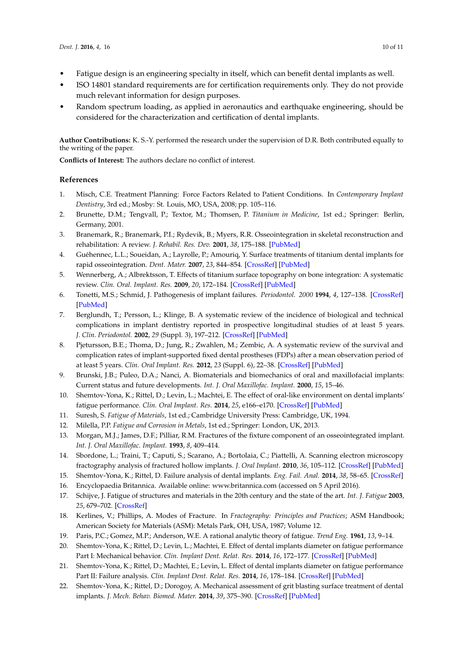- Fatigue design is an engineering specialty in itself, which can benefit dental implants as well.
- ISO 14801 standard requirements are for certification requirements only. They do not provide much relevant information for design purposes.
- Random spectrum loading, as applied in aeronautics and earthquake engineering, should be considered for the characterization and certification of dental implants.

**Author Contributions:** K. S.-Y. performed the research under the supervision of D.R. Both contributed equally to the writing of the paper.

**Conflicts of Interest:** The authors declare no conflict of interest.

## **References**

- <span id="page-9-0"></span>1. Misch, C.E. Treatment Planning: Force Factors Related to Patient Conditions. In *Contemporary Implant Dentistry*, 3rd ed.; Mosby: St. Louis, MO, USA, 2008; pp. 105–116.
- <span id="page-9-1"></span>2. Brunette, D.M.; Tengvall, P.; Textor, M.; Thomsen, P. *Titanium in Medicine*, 1st ed.; Springer: Berlin, Germany, 2001.
- <span id="page-9-2"></span>3. Branemark, R.; Branemark, P.I.; Rydevik, B.; Myers, R.R. Osseointegration in skeletal reconstruction and rehabilitation: A review. *J. Rehabil. Res. Dev.* **2001**, *38*, 175–188. [\[PubMed\]](http://www.ncbi.nlm.nih.gov/pubmed/11392650)
- <span id="page-9-3"></span>4. Guéhennec, L.L.; Soueidan, A.; Layrolle, P.; Amouriq, Y. Surface treatments of titanium dental implants for rapid osseointegration. *Dent. Mater.* **2007**, *23*, 844–854. [\[CrossRef\]](http://dx.doi.org/10.1016/j.dental.2006.06.025) [\[PubMed\]](http://www.ncbi.nlm.nih.gov/pubmed/16904738)
- <span id="page-9-4"></span>5. Wennerberg, A.; Albrektsson, T. Effects of titanium surface topography on bone integration: A systematic review. *Clin. Oral. Implant. Res.* **2009**, *20*, 172–184. [\[CrossRef\]](http://dx.doi.org/10.1111/j.1600-0501.2009.01775.x) [\[PubMed\]](http://www.ncbi.nlm.nih.gov/pubmed/19663964)
- <span id="page-9-5"></span>6. Tonetti, M.S.; Schmid, J. Pathogenesis of implant failures. *Periodontol. 2000* **1994**, *4*, 127–138. [\[CrossRef\]](http://dx.doi.org/10.1111/j.1600-0757.1994.tb00013.x) [\[PubMed\]](http://www.ncbi.nlm.nih.gov/pubmed/9673201)
- <span id="page-9-7"></span>7. Berglundh, T.; Persson, L.; Klinge, B. A systematic review of the incidence of biological and technical complications in implant dentistry reported in prospective longitudinal studies of at least 5 years. *J. Clin. Periodontol.* **2002**, *29* (Suppl. 3), 197–212. [\[CrossRef\]](http://dx.doi.org/10.1034/j.1600-051X.29.s3.12.x) [\[PubMed\]](http://www.ncbi.nlm.nih.gov/pubmed/12787220)
- <span id="page-9-6"></span>8. Pjetursson, B.E.; Thoma, D.; Jung, R.; Zwahlen, M.; Zembic, A. A systematic review of the survival and complication rates of implant-supported fixed dental prostheses (FDPs) after a mean observation period of at least 5 years. *Clin. Oral Implant. Res.* **2012**, *23* (Suppl. 6), 22–38. [\[CrossRef\]](http://dx.doi.org/10.1111/j.1600-0501.2012.02546.x) [\[PubMed\]](http://www.ncbi.nlm.nih.gov/pubmed/23062125)
- <span id="page-9-8"></span>9. Brunski, J.B.; Puleo, D.A.; Nanci, A. Biomaterials and biomechanics of oral and maxillofacial implants: Current status and future developments. *Int. J. Oral Maxillofac. Implant.* **2000**, *15*, 15–46.
- <span id="page-9-9"></span>10. Shemtov-Yona, K.; Rittel, D.; Levin, L.; Machtei, E. The effect of oral-like environment on dental implants' fatigue performance. *Clin. Oral Implant. Res.* **2014**, *25*, e166–e170. [\[CrossRef\]](http://dx.doi.org/10.1111/clr.12084) [\[PubMed\]](http://www.ncbi.nlm.nih.gov/pubmed/23278444)
- <span id="page-9-10"></span>11. Suresh, S. *Fatigue of Materials*, 1st ed.; Cambridge University Press: Cambridge, UK, 1994.
- <span id="page-9-11"></span>12. Milella, P.P. *Fatigue and Corrosion in Metals*, 1st ed.; Springer: London, UK, 2013.
- <span id="page-9-12"></span>13. Morgan, M.J.; James, D.F.; Pilliar, R.M. Fractures of the fixture component of an osseointegrated implant. *Int. J. Oral Maxillofac. Implant.* **1993**, *8*, 409–414.
- <span id="page-9-16"></span>14. Sbordone, L.; Traini, T.; Caputi, S.; Scarano, A.; Bortolaia, C.; Piattelli, A. Scanning electron microscopy fractography analysis of fractured hollow implants. *J. Oral Implant.* **2010**, *36*, 105–112. [\[CrossRef\]](http://dx.doi.org/10.1563/AAID-JOI-D-10-90000) [\[PubMed\]](http://www.ncbi.nlm.nih.gov/pubmed/20426587)
- <span id="page-9-13"></span>15. Shemtov-Yona, K.; Rittel, D. Failure analysis of dental implants. *Eng. Fail. Anal.* **2014**, *38*, 58–65. [\[CrossRef\]](http://dx.doi.org/10.1016/j.engfailanal.2014.01.002)
- <span id="page-9-14"></span>16. Encyclopaedia Britannica. Available online: <www.britannica.com> (accessed on 5 April 2016).
- <span id="page-9-15"></span>17. Schijve, J. Fatigue of structures and materials in the 20th century and the state of the art. *Int. J. Fatigue* **2003**, *25*, 679–702. [\[CrossRef\]](http://dx.doi.org/10.1016/S0142-1123(03)00051-3)
- <span id="page-9-17"></span>18. Kerlines, V.; Phillips, A. Modes of Fracture. In *Fractography: Principles and Practices*; ASM Handbook; American Society for Materials (ASM): Metals Park, OH, USA, 1987; Volume 12.
- <span id="page-9-18"></span>19. Paris, P.C.; Gomez, M.P.; Anderson, W.E. A rational analytic theory of fatigue. *Trend Eng.* **1961**, *13*, 9–14.
- <span id="page-9-19"></span>20. Shemtov-Yona, K.; Rittel, D.; Levin, L.; Machtei, E. Effect of dental implants diameter on fatigue performance Part I: Mechanical behavior. *Clin. Implant Dent. Relat. Res.* **2014**, *16*, 172–177. [\[CrossRef\]](http://dx.doi.org/10.1111/j.1708-8208.2012.00477.x) [\[PubMed\]](http://www.ncbi.nlm.nih.gov/pubmed/22780911)
- <span id="page-9-20"></span>21. Shemtov-Yona, K.; Rittel, D.; Machtei, E.; Levin, L. Effect of dental implants diameter on fatigue performance Part II: Failure analysis. *Clin. Implant Dent. Relat. Res.* **2014**, *16*, 178–184. [\[CrossRef\]](http://dx.doi.org/10.1111/j.1708-8208.2012.00476.x) [\[PubMed\]](http://www.ncbi.nlm.nih.gov/pubmed/22780872)
- <span id="page-9-21"></span>22. Shemtov-Yona, K.; Rittel, D.; Dorogoy, A. Mechanical assessment of grit blasting surface treatment of dental implants. *J. Mech. Behav. Biomed. Mater.* **2014**, *39*, 375–390. [\[CrossRef\]](http://dx.doi.org/10.1016/j.jmbbm.2014.07.027) [\[PubMed\]](http://www.ncbi.nlm.nih.gov/pubmed/25173238)